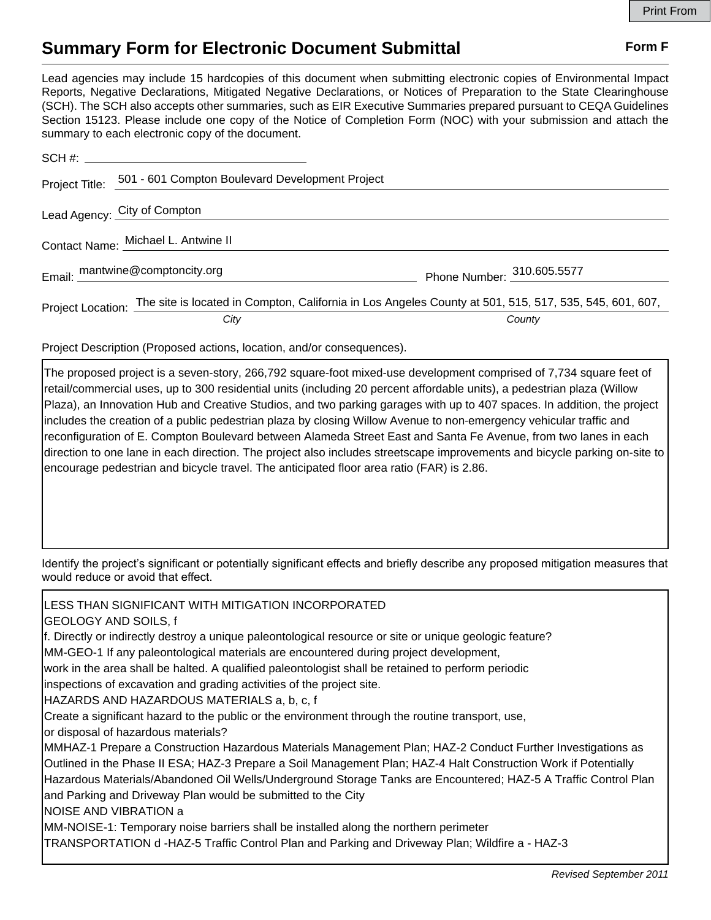## **Summary Form for Electronic Document Submittal Form F Form F**

Lead agencies may include 15 hardcopies of this document when submitting electronic copies of Environmental Impact Reports, Negative Declarations, Mitigated Negative Declarations, or Notices of Preparation to the State Clearinghouse (SCH). The SCH also accepts other summaries, such as EIR Executive Summaries prepared pursuant to CEQA Guidelines Section 15123. Please include one copy of the Notice of Completion Form (NOC) with your submission and attach the summary to each electronic copy of the document.

| Project Title:                      | 501 - 601 Compton Boulevard Development Project                                                                          |                            |
|-------------------------------------|--------------------------------------------------------------------------------------------------------------------------|----------------------------|
|                                     | Lead Agency: City of Compton                                                                                             |                            |
| Contact Name: Michael L. Antwine II |                                                                                                                          |                            |
|                                     | Email: mantwine@comptoncity.org                                                                                          | Phone Number: 310.605.5577 |
|                                     | Project Location: The site is located in Compton, California in Los Angeles County at 501, 515, 517, 535, 545, 601, 607, |                            |
|                                     | City                                                                                                                     | County                     |

Project Description (Proposed actions, location, and/or consequences).

The proposed project is a seven-story, 266,792 square-foot mixed-use development comprised of 7,734 square feet of retail/commercial uses, up to 300 residential units (including 20 percent affordable units), a pedestrian plaza (Willow Plaza), an Innovation Hub and Creative Studios, and two parking garages with up to 407 spaces. In addition, the project includes the creation of a public pedestrian plaza by closing Willow Avenue to non-emergency vehicular traffic and reconfiguration of E. Compton Boulevard between Alameda Street East and Santa Fe Avenue, from two lanes in each direction to one lane in each direction. The project also includes streetscape improvements and bicycle parking on-site to encourage pedestrian and bicycle travel. The anticipated floor area ratio (FAR) is 2.86.

Identify the project's significant or potentially significant effects and briefly describe any proposed mitigation measures that would reduce or avoid that effect.

LESS THAN SIGNIFICANT WITH MITIGATION INCORPORATED GEOLOGY AND SOILS, f f. Directly or indirectly destroy a unique paleontological resource or site or unique geologic feature? MM-GEO-1 If any paleontological materials are encountered during project development, work in the area shall be halted. A qualified paleontologist shall be retained to perform periodic inspections of excavation and grading activities of the project site. HAZARDS AND HAZARDOUS MATERIALS a, b, c, f Create a significant hazard to the public or the environment through the routine transport, use, or disposal of hazardous materials? MMHAZ-1 Prepare a Construction Hazardous Materials Management Plan; HAZ-2 Conduct Further Investigations as Outlined in the Phase II ESA; HAZ-3 Prepare a Soil Management Plan; HAZ-4 Halt Construction Work if Potentially Hazardous Materials/Abandoned Oil Wells/Underground Storage Tanks are Encountered; HAZ-5 A Traffic Control Plan and Parking and Driveway Plan would be submitted to the City NOISE AND VIBRATION a MM-NOISE-1: Temporary noise barriers shall be installed along the northern perimeter TRANSPORTATION d -HAZ-5 Traffic Control Plan and Parking and Driveway Plan; Wildfire a - HAZ-3